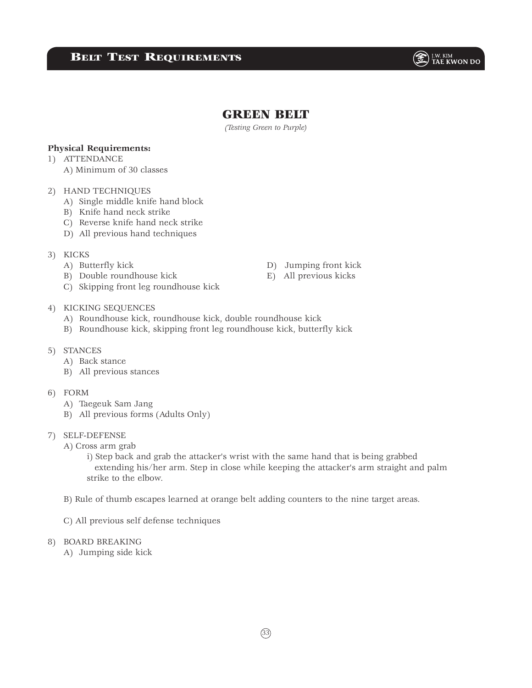# **BELT TEST REQUIREMENTS**

 $\circledast$   $\mathbb{F}_{\text{1AE}}^{\text{I.W. KIM}}$ 

## GREEN BELT

*(Testing Green to Purple)*

### **Physical Requirements:**

- 1) ATTENDANCE
	- A) Minimum of 30 classes

### 2) HAND TECHNIQUES

- A) Single middle knife hand block
- B) Knife hand neck strike
- C) Reverse knife hand neck strike
- D) All previous hand techniques

#### 3) KICKS

- 
- B) Double roundhouse kick E) All previous kicks
- C) Skipping front leg roundhouse kick
- A) Butterfly kick D) Jumping front kick

#### 4) KICKING SEQUENCES

- A) Roundhouse kick, roundhouse kick, double roundhouse kick
- B) Roundhouse kick, skipping front leg roundhouse kick, butterfly kick

#### 5) STANCES

- A) Back stance
- B) All previous stances

### 6) FORM

- A) Taegeuk Sam Jang
- B) All previous forms (Adults Only)

#### 7) SELF-DEFENSE

A) Cross arm grab

 i) Step back and grab the attacker's wrist with the same hand that is being grabbed extending his/her arm. Step in close while keeping the attacker's arm straight and palm strike to the elbow.

- B) Rule of thumb escapes learned at orange belt adding counters to the nine target areas.
- C) All previous self defense techniques

#### 8) BOARD BREAKING

A) Jumping side kick

 $(33)$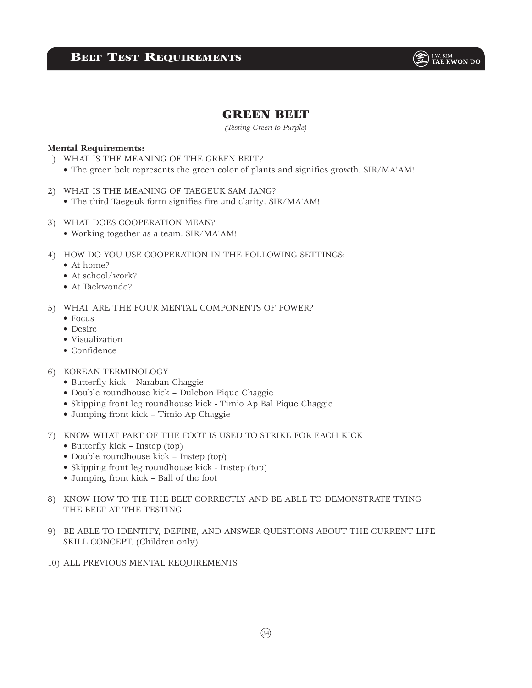

# GREEN BELT

*(Testing Green to Purple)*

#### **Mental Requirements:**

- 1) WHAT IS THE MEANING OF THE GREEN BELT?
	- The green belt represents the green color of plants and signifies growth. SIR/MA'AM!
- 2) WHAT IS THE MEANING OF TAEGEUK SAM JANG?
	- The third Taegeuk form signifies fire and clarity. SIR/MA'AM!
- 3) WHAT DOES COOPERATION MEAN?
	- Working together as a team. SIR/MA'AM!
- 4) HOW DO YOU USE COOPERATION IN THE FOLLOWING SETTINGS:
	- At home?
	- At school/work?
	- At Taekwondo?
- 5) WHAT ARE THE FOUR MENTAL COMPONENTS OF POWER?
	- Focus
	- Desire
	- Visualization
	- Confidence
- 6) KOREAN TERMINOLOGY
	- Butterfly kick Naraban Chaggie
	- Double roundhouse kick Dulebon Pique Chaggie
	- Skipping front leg roundhouse kick Timio Ap Bal Pique Chaggie
	- Jumping front kick Timio Ap Chaggie
- 7) KNOW WHAT PART OF THE FOOT IS USED TO STRIKE FOR EACH KICK
	- Butterfly kick Instep (top)
	- Double roundhouse kick Instep (top)
	- Skipping front leg roundhouse kick Instep (top)
	- Jumping front kick Ball of the foot
- 8) KNOW HOW TO TIE THE BELT CORRECTLY AND BE ABLE TO DEMONSTRATE TYING THE BELT AT THE TESTING.
- 9) BE ABLE TO IDENTIFY, DEFINE, AND ANSWER QUESTIONS ABOUT THE CURRENT LIFE SKILL CONCEPT. (Children only)
- 10) ALL PREVIOUS MENTAL REQUIREMENTS